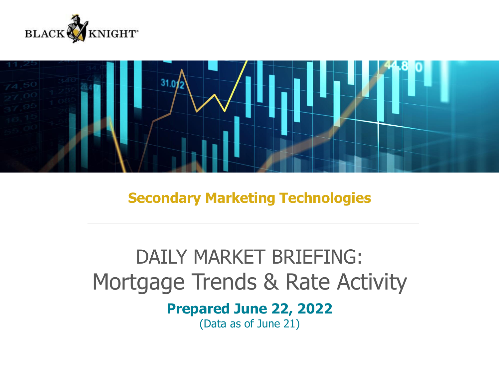



**Secondary Marketing Technologies**

# DAILY MARKET BRIEFING: Mortgage Trends & Rate Activity

### **Prepared June 22, 2022**

(Data as of June 21)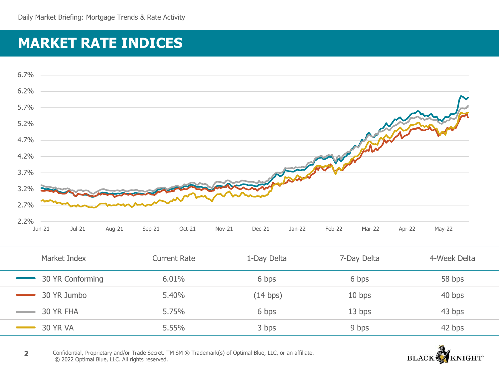# **MARKET RATE INDICES**



| Market Index                    | <b>Current Rate</b> | 1-Day Delta | 7-Day Delta | 4-Week Delta |
|---------------------------------|---------------------|-------------|-------------|--------------|
| 30 YR Conforming                | 6.01%               | 6 bps       | 6 bps       | 58 bps       |
| 30 YR Jumbo<br>and the state of | 5.40%               | (14 bps)    | $10$ bps    | 40 bps       |
| 30 YR FHA                       | 5.75%               | 6 bps       | 13 bps      | 43 bps       |
| <b>30 YR VA</b>                 | 5.55%               | 3 bps       | 9 bps       | 42 bps       |

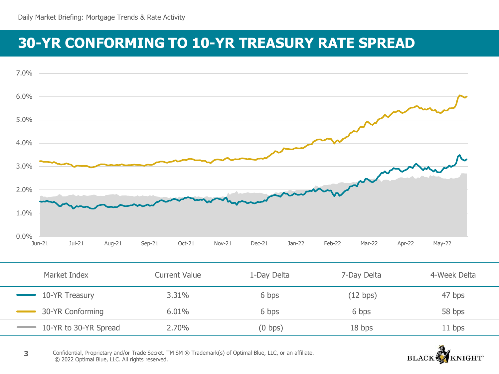## **30-YR CONFORMING TO 10-YR TREASURY RATE SPREAD**



| Market Index          | Current Value | 1-Day Delta | 7-Day Delta | 4-Week Delta |
|-----------------------|---------------|-------------|-------------|--------------|
| 10-YR Treasury        | 3.31%         | 6 bps       | (12 bps)    | 47 bps       |
| 30-YR Conforming      | 6.01%         | 6 bps       | 6 bps       | 58 bps       |
| 10-YR to 30-YR Spread | 2.70%         | $(0$ bps)   | 18 bps      | $11$ bps     |

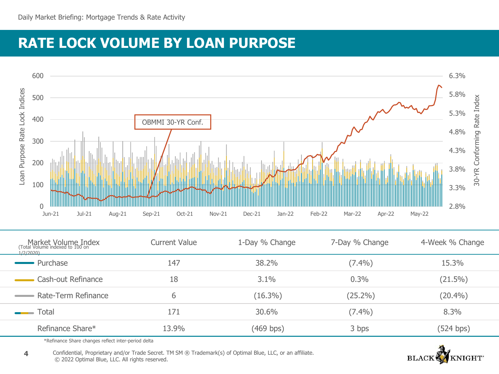# **RATE LOCK VOLUME BY LOAN PURPOSE**



| Market Volume Index<br>Total Volume indexed to 100 on<br>1/2/2020 | <b>Current Value</b> | 1-Day % Change | 7-Day % Change | 4-Week % Change |
|-------------------------------------------------------------------|----------------------|----------------|----------------|-----------------|
| Purchase                                                          | 147                  | 38.2%          | $(7.4\%)$      | 15.3%           |
| Cash-out Refinance                                                | 18                   | 3.1%           | 0.3%           | $(21.5\%)$      |
| Rate-Term Refinance                                               | b                    | $(16.3\%)$     | $(25.2\%)$     | $(20.4\%)$      |
| Total<br><u>and the state</u>                                     | 171                  | 30.6%          | $(7.4\%)$      | 8.3%            |
| Refinance Share*                                                  | 13.9%                | (469 bps)      | 3 bps          | (524 bps)       |

\*Refinance Share changes reflect inter-period delta

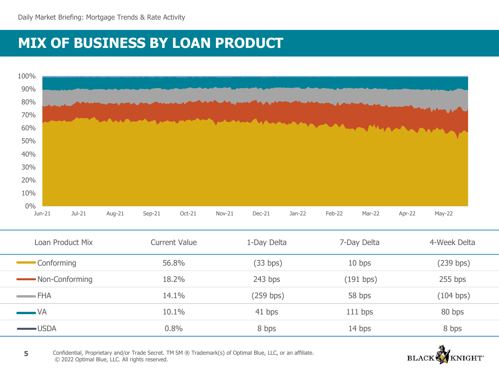# **MIX OF BUSINESS BY LOAN PRODUCT**



| Loan Product Mix       | <b>Current Value</b> | 1-Day Delta | 7-Day Delta | 4-Week Delta |
|------------------------|----------------------|-------------|-------------|--------------|
| <b>Conforming</b>      | 56.8%                | (33 bps)    | $10$ bps    | (239 bps)    |
| Non-Conforming         | 18.2%                | $243$ bps   | (191 bps)   | $255$ bps    |
| $\longrightarrow$ FHA  | 14.1%                | (259 bps)   | 58 bps      | (104 bps)    |
| $\longrightarrow$ VA   | 10.1%                | 41 bps      | $111$ bps   | 80 bps       |
| $\longrightarrow$ USDA | 0.8%                 | 8 bps       | 14 bps      | 8 bps        |

NIGHT<sup>\*</sup> **BLACK**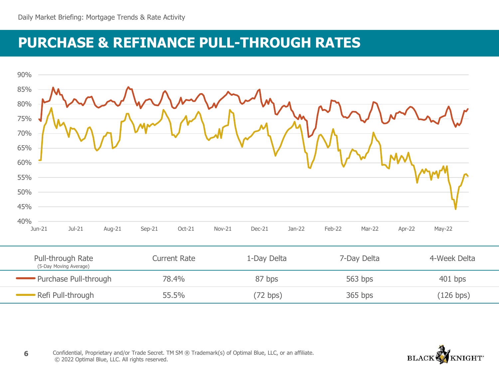## **PURCHASE & REFINANCE PULL-THROUGH RATES**



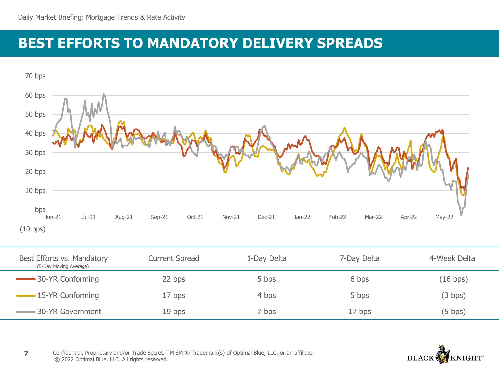### **BEST EFFORTS TO MANDATORY DELIVERY SPREADS**



| Best Efforts vs. Mandatory<br>(5-Day Moving Average) | <b>Current Spread</b> | 1-Day Delta | 7-Day Delta | 4-Week Delta |
|------------------------------------------------------|-----------------------|-------------|-------------|--------------|
| 30-YR Conforming                                     | 22 bps                | 5 bps       | 6 bps       | (16 bps)     |
| -15-YR Conforming                                    | 17 bps                | 4 bps       | 5 bps       | (3 bps)      |
| -30-YR Government                                    | 19 <sub>bps</sub>     | 7 bps       | 17 bps      | $(5$ bps)    |

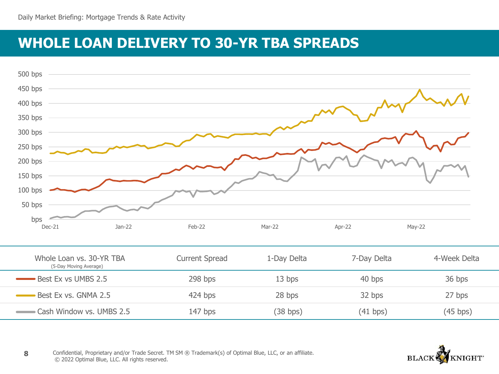### **WHOLE LOAN DELIVERY TO 30-YR TBA SPREADS**



| Whole Loan vs. 30-YR TBA<br>(5-Day Moving Average) | <b>Current Spread</b> | 1-Day Delta | 7-Day Delta | 4-Week Delta |
|----------------------------------------------------|-----------------------|-------------|-------------|--------------|
| Best Ex vs UMBS 2.5                                | 298 bps               | 13 bps      | 40 bps      | 36 bps       |
| Best Ex vs. GNMA 2.5                               | $424$ bps             | 28 bps      | 32 bps      | 27 bps       |
| Cash Window vs. UMBS 2.5                           | $147$ bps             | (38 bps)    | (41 bps)    | (45 bps)     |